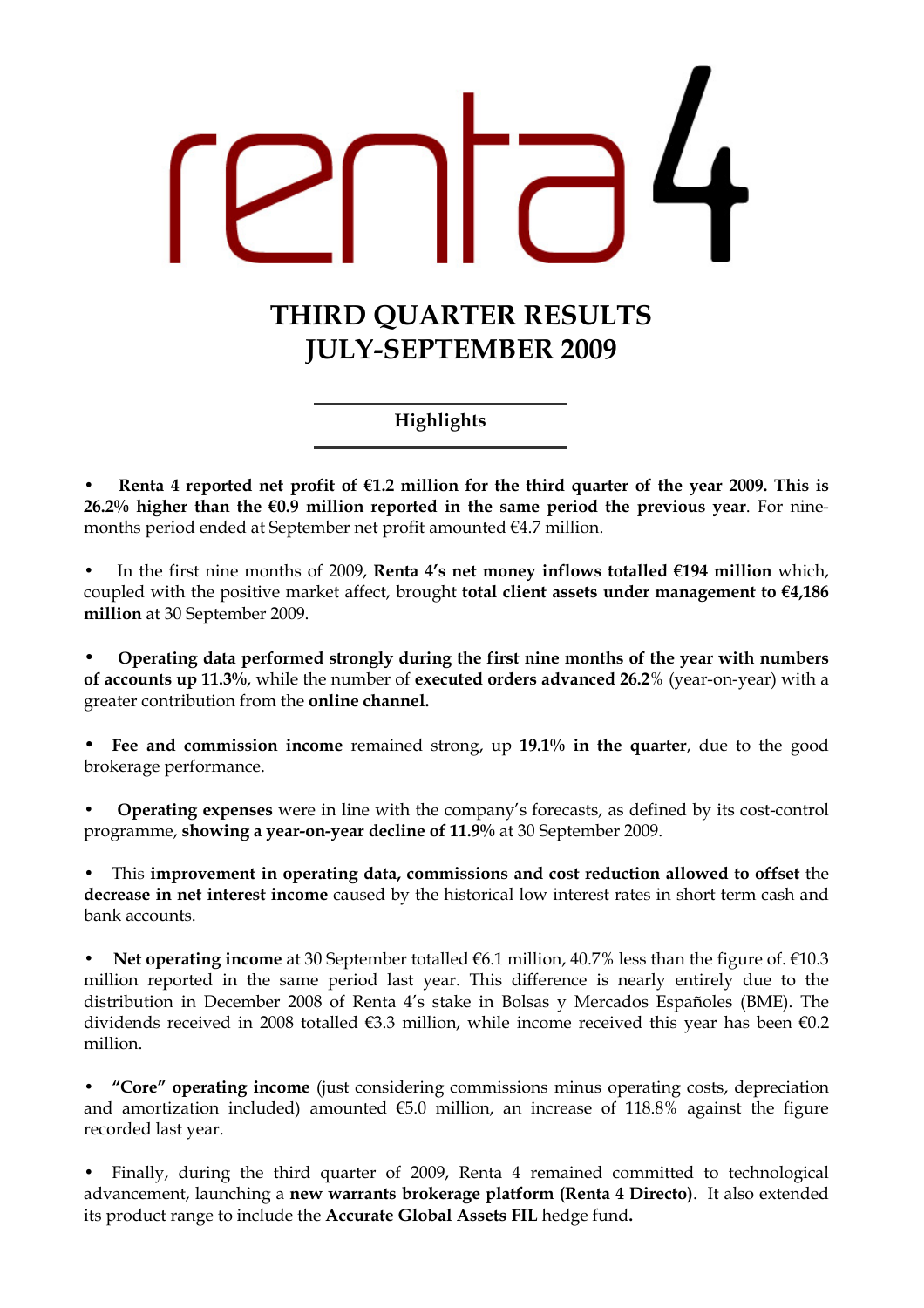# THIRD QUARTER RESULTS JULY-SEPTEMBER 2009

Highlights

Renta 4 reported net profit of  $E1.2$  million for the third quarter of the year 2009. This is 26.2% higher than the  $60.9$  million reported in the same period the previous year. For ninemonths period ended at September net profit amounted €4.7 million.

In the first nine months of 2009. Renta 4's net money inflows totalled  $\epsilon$ 194 million which. coupled with the positive market affect, brought total client assets under management to  $E4,186$ million at 30 September 2009.

• Operating data performed strongly during the first nine months of the year with numbers of accounts up 11.3%, while the number of executed orders advanced 26.2% (year-on-year) with a greater contribution from the online channel.

Fee and commission income remained strong, up 19.1% in the quarter, due to the good brokerage performance.

• Operating expenses were in line with the company's forecasts, as defined by its cost-control programme, showing a year-on-year decline of 11.9% at 30 September 2009.

• This improvement in operating data, commissions and cost reduction allowed to offset the decrease in net interest income caused by the historical low interest rates in short term cash and bank accounts.

Net operating income at 30 September totalled €6.1 million, 40.7% less than the figure of. €10.3 million reported in the same period last year. This difference is nearly entirely due to the distribution in December 2008 of Renta 4's stake in Bolsas y Mercados Españoles (BME). The dividends received in 2008 totalled €3.3 million, while income received this year has been €0.2 million.

• "Core" operating income (just considering commissions minus operating costs, depreciation and amortization included) amounted  $€5.0$  million, an increase of 118.8% against the figure recorded last year.

• Finally, during the third quarter of 2009, Renta 4 remained committed to technological advancement, launching a new warrants brokerage platform (Renta 4 Directo). It also extended its product range to include the Accurate Global Assets FIL hedge fund.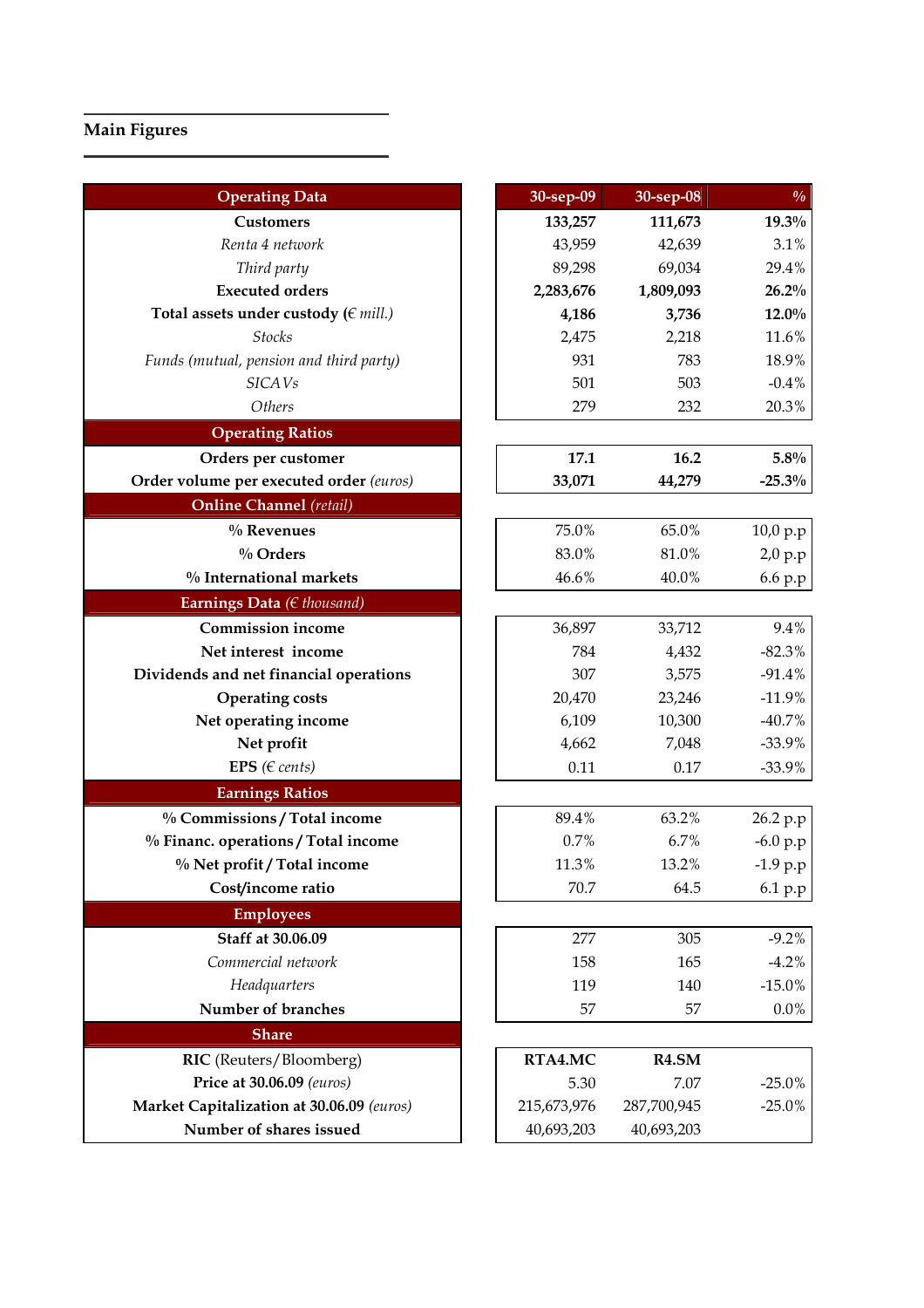# Main Figures

| <b>Operating Data</b>                     | 30-sep-09   | 30-sep-08   | $\frac{0}{0}$ |
|-------------------------------------------|-------------|-------------|---------------|
| <b>Customers</b>                          | 133,257     | 111,673     | 19.3%         |
| Renta 4 network                           | 43,959      | 42,639      | 3.1%          |
| Third party                               | 89,298      | 69,034      | 29.4%         |
| <b>Executed orders</b>                    | 2,283,676   | 1,809,093   | 26.2%         |
| Total assets under custody ( $\in$ mill.) | 4,186       | 3,736       | $12.0\%$      |
| <b>Stocks</b>                             | 2,475       | 2,218       | 11.6%         |
| Funds (mutual, pension and third party)   | 931         | 783         | 18.9%         |
| <b>SICAVs</b>                             | 501         | 503         | $-0.4%$       |
| Others                                    | 279         | 232         | 20.3%         |
| <b>Operating Ratios</b>                   |             |             |               |
| Orders per customer                       | 17.1        | 16.2        | 5.8%          |
| Order volume per executed order (euros)   | 33,071      | 44,279      | $-25.3%$      |
| <b>Online Channel</b> (retail)            |             |             |               |
| % Revenues                                | 75.0%       | 65.0%       | 10,0 p.p      |
| $\%$ Orders                               | 83.0%       | 81.0%       | 2,0 p.p       |
| % International markets                   | 46.6%       | 40.0%       | 6.6 p.p       |
| Earnings Data (€ thousand)                |             |             |               |
| <b>Commission income</b>                  | 36,897      | 33,712      | 9.4%          |
| Net interest income                       | 784         | 4,432       | $-82.3%$      |
| Dividends and net financial operations    | 307         | 3,575       | $-91.4%$      |
| <b>Operating costs</b>                    | 20,470      | 23,246      | $-11.9%$      |
| Net operating income                      | 6,109       | 10,300      | $-40.7%$      |
| Net profit                                | 4,662       | 7,048       | $-33.9%$      |
| EPS ( $\in$ cents)                        | 0.11        | 0.17        | $-33.9%$      |
| <b>Earnings Ratios</b>                    |             |             |               |
| % Commissions / Total income              | 89.4%       | 63.2%       | 26.2 p.p      |
| % Financ. operations / Total income       | 0.7%        | 6.7%        | $-6.0 p.p$    |
| % Net profit / Total income               | 11.3%       | 13.2%       | $-1.9 p.p$    |
| Cost/income ratio                         | 70.7        | 64.5        | 6.1 p.p       |
| <b>Employees</b>                          |             |             |               |
| Staff at 30.06.09                         | 277         | 305         | $-9.2%$       |
| Commercial network                        | 158         | 165         | $-4.2%$       |
| Headquarters                              | 119         | 140         | $-15.0%$      |
| Number of branches                        | 57          | 57          | $0.0\%$       |
| <b>Share</b>                              |             |             |               |
| RIC (Reuters/Bloomberg)                   | RTA4.MC     | R4.5M       |               |
| Price at 30.06.09 (euros)                 | 5.30        | 7.07        | $-25.0%$      |
| Market Capitalization at 30.06.09 (euros) | 215,673,976 | 287,700,945 | $-25.0%$      |
| Number of shares issued                   | 40,693,203  | 40,693,203  |               |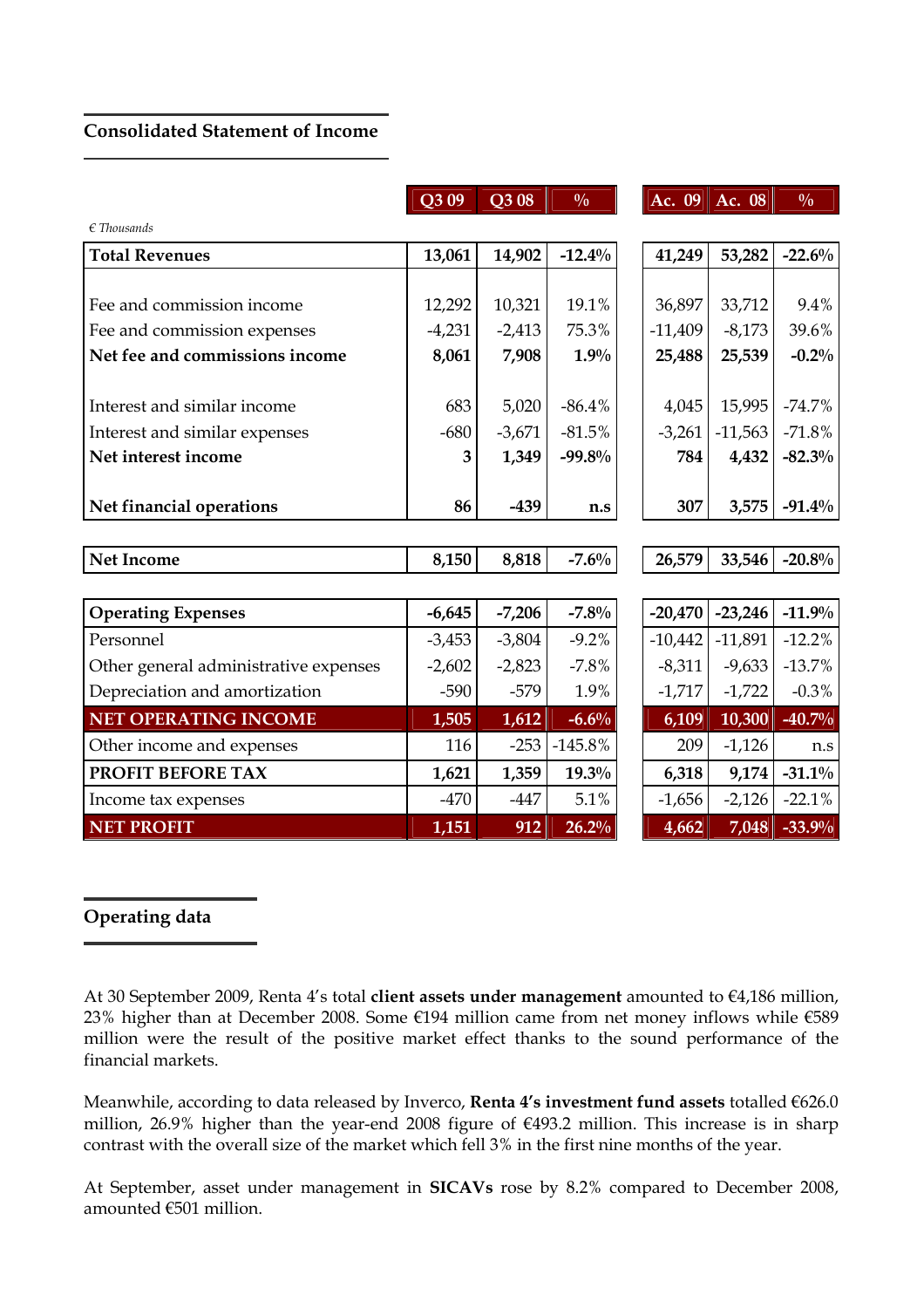# Consolidated Statement of Income

|                                       | Q309     | Q308     | $\frac{0}{0}$ |           | Ac. $09$ Ac. $08$ | $\frac{0}{0}$ |
|---------------------------------------|----------|----------|---------------|-----------|-------------------|---------------|
| $\epsilon$ Thousands                  |          |          |               |           |                   |               |
| <b>Total Revenues</b>                 | 13,061   | 14,902   | $-12.4%$      | 41,249    | 53,282            | $-22.6%$      |
|                                       |          |          |               |           |                   |               |
| Fee and commission income             | 12,292   | 10,321   | 19.1%         | 36,897    | 33,712            | 9.4%          |
| Fee and commission expenses           | $-4,231$ | $-2,413$ | 75.3%         | $-11,409$ | $-8,173$          | 39.6%         |
| Net fee and commissions income        | 8,061    | 7,908    | 1.9%          | 25,488    | 25,539            | $-0.2%$       |
| Interest and similar income           | 683      | 5,020    | $-86.4%$      | 4,045     | 15,995            | $-74.7%$      |
| Interest and similar expenses         | $-680$   | $-3,671$ | $-81.5%$      | $-3,261$  | $-11,563$         | $-71.8%$      |
| Net interest income                   | 3        | 1,349    | $-99.8%$      | 784       | 4,432             | $-82.3\%$     |
| Net financial operations              | 86       | $-439$   | n.s           | 307       | 3,575             | $-91.4\%$     |
| <b>Net Income</b>                     | 8,150    | 8,818    | $-7.6\%$      | 26,579    | 33,546            | $-20.8%$      |
|                                       |          |          |               |           |                   |               |
| <b>Operating Expenses</b>             | $-6,645$ | $-7,206$ | $-7.8%$       | $-20,470$ | $-23,246$         | $-11.9%$      |
| Personnel                             | $-3,453$ | $-3,804$ | $-9.2%$       | $-10,442$ | $-11,891$         | $-12.2%$      |
| Other general administrative expenses | $-2,602$ | $-2,823$ | $-7.8%$       | $-8,311$  | $-9,633$          | $-13.7%$      |
| Depreciation and amortization         | $-590$   | $-579$   | 1.9%          | $-1,717$  | $-1,722$          | $-0.3%$       |
| <b>NET OPERATING INCOME</b>           | 1,505    | 1,612    | $-6.6%$       | 6,109     | 10,300            | $-40.7%$      |
| Other income and expenses             | 116      | $-253$   | $-145.8%$     | 209       | $-1,126$          | n.s           |
| PROFIT BEFORE TAX                     | 1,621    | 1,359    | $19.3\%$      | 6,318     | 9,174             | $-31.1\%$     |
| Income tax expenses                   | $-470$   | $-447$   | 5.1%          | $-1,656$  | $-2,126$          | $-22.1%$      |
| <b>NET PROFIT</b>                     | 1,151    | 912      | 26.2%         | 4,662     | 7,048             | $-33.9%$      |

# Operating data

Meanwhile, according to data released by Inverco, Renta 4's investment fund assets totalled €626.0 million, 26.9% higher than the year-end 2008 figure of €493.2 million. This increase is in sharp contrast with the overall size of the market which fell 3% in the first nine months of the year.

At September, asset under management in SICAVs rose by 8.2% compared to December 2008, amounted €501 million.

At 30 September 2009, Renta 4's total client assets under management amounted to €4,186 million, 23% higher than at December 2008. Some €194 million came from net money inflows while €589 million were the result of the positive market effect thanks to the sound performance of the financial markets.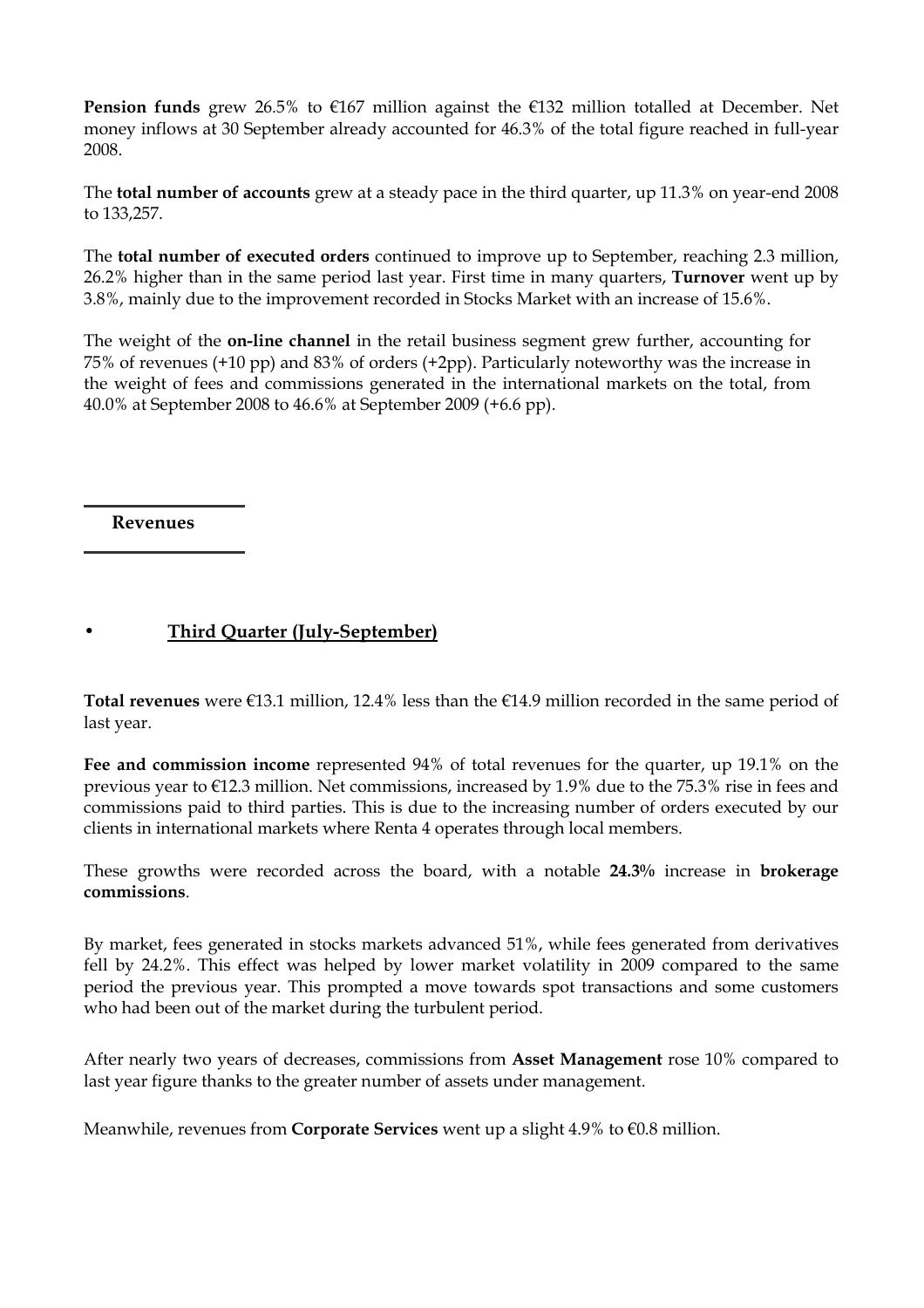**Pension funds** grew 26.5% to  $\epsilon$ 167 million against the  $\epsilon$ 132 million totalled at December. Net money inflows at 30 September already accounted for 46.3% of the total figure reached in full-year 2008.

The total number of accounts grew at a steady pace in the third quarter, up 11.3% on year-end 2008 to 133,257.

The total number of executed orders continued to improve up to September, reaching 2.3 million, 26.2% higher than in the same period last year. First time in many quarters, Turnover went up by 3.8%, mainly due to the improvement recorded in Stocks Market with an increase of 15.6%.

The weight of the **on-line channel** in the retail business segment grew further, accounting for 75% of revenues (+10 pp) and 83% of orders (+2pp). Particularly noteworthy was the increase in the weight of fees and commissions generated in the international markets on the total, from 40.0% at September 2008 to 46.6% at September 2009 (+6.6 pp).

Revenues

# • Third Quarter (July-September)

Total revenues were  $E13.1$  million, 12.4% less than the  $E14.9$  million recorded in the same period of last year.

Fee and commission income represented 94% of total revenues for the quarter, up 19.1% on the previous year to €12.3 million. Net commissions, increased by 1.9% due to the 75.3% rise in fees and commissions paid to third parties. This is due to the increasing number of orders executed by our clients in international markets where Renta 4 operates through local members.

These growths were recorded across the board, with a notable 24.3% increase in brokerage commissions.

By market, fees generated in stocks markets advanced 51%, while fees generated from derivatives fell by 24.2%. This effect was helped by lower market volatility in 2009 compared to the same period the previous year. This prompted a move towards spot transactions and some customers who had been out of the market during the turbulent period.

After nearly two years of decreases, commissions from Asset Management rose 10% compared to last year figure thanks to the greater number of assets under management.

Meanwhile, revenues from Corporate Services went up a slight 4.9% to €0.8 million.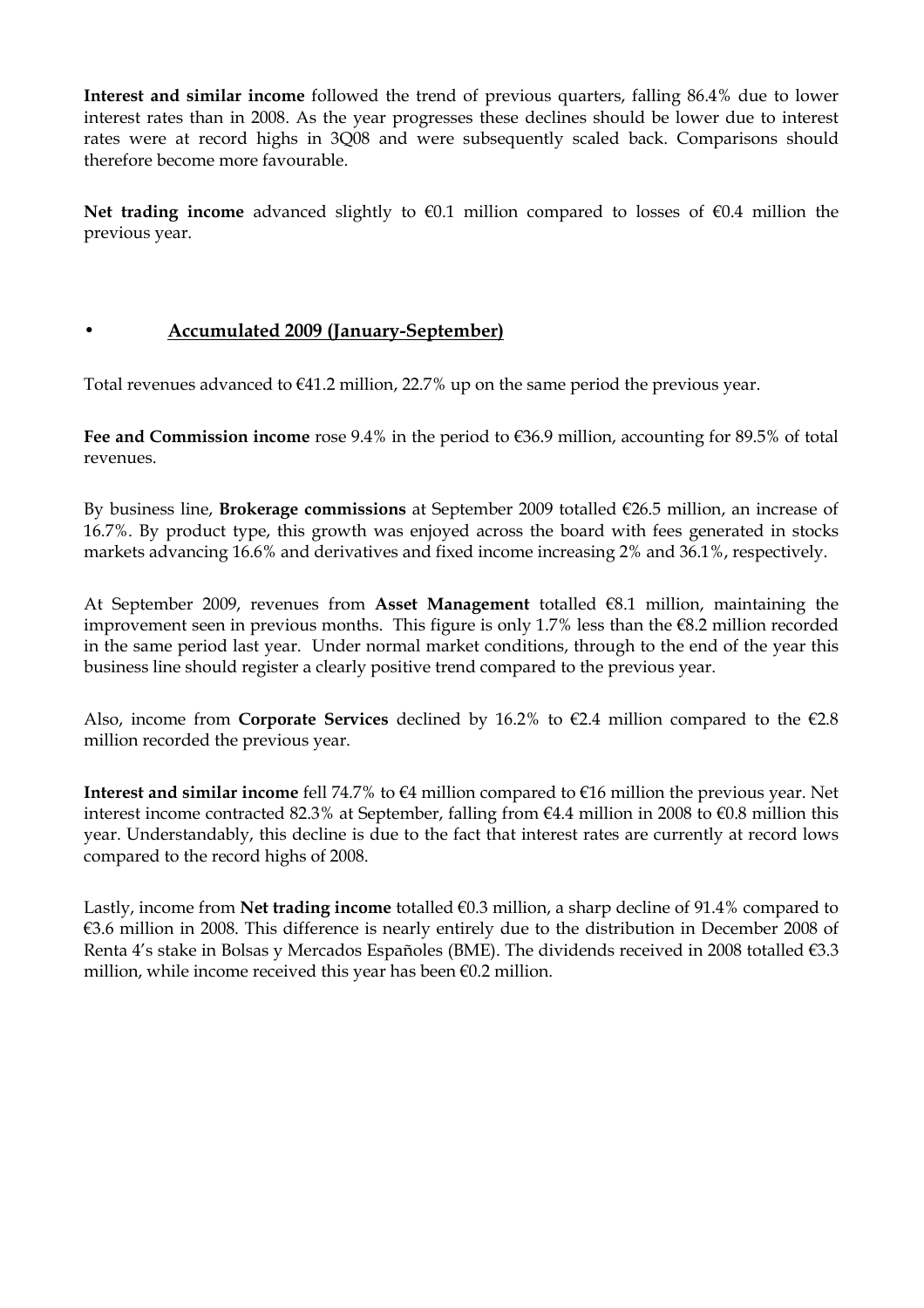Interest and similar income followed the trend of previous quarters, falling 86.4% due to lower interest rates than in 2008. As the year progresses these declines should be lower due to interest rates were at record highs in 3Q08 and were subsequently scaled back. Comparisons should therefore become more favourable.

Net trading income advanced slightly to  $\epsilon$ 0.1 million compared to losses of  $\epsilon$ 0.4 million the previous year.

## • Accumulated 2009 (January-September)

Total revenues advanced to  $€41.2$  million, 22.7% up on the same period the previous year.

Fee and Commission income rose 9.4% in the period to €36.9 million, accounting for 89.5% of total revenues.

By business line, **Brokerage commissions** at September 2009 totalled  $\epsilon$ 26.5 million, an increase of 16.7%. By product type, this growth was enjoyed across the board with fees generated in stocks markets advancing 16.6% and derivatives and fixed income increasing 2% and 36.1%, respectively.

At September 2009, revenues from Asset Management totalled €8.1 million, maintaining the improvement seen in previous months. This figure is only 1.7% less than the €8.2 million recorded in the same period last year. Under normal market conditions, through to the end of the year this business line should register a clearly positive trend compared to the previous year.

Also, income from Corporate Services declined by 16.2% to  $\epsilon$ 2.4 million compared to the  $\epsilon$ 2.8 million recorded the previous year.

Interest and similar income fell 74.7% to  $\epsilon 4$  million compared to  $\epsilon 16$  million the previous year. Net interest income contracted 82.3% at September, falling from €4.4 million in 2008 to €0.8 million this year. Understandably, this decline is due to the fact that interest rates are currently at record lows compared to the record highs of 2008.

Lastly, income from Net trading income totalled €0.3 million, a sharp decline of 91.4% compared to €3.6 million in 2008. This difference is nearly entirely due to the distribution in December 2008 of Renta 4's stake in Bolsas y Mercados Españoles (BME). The dividends received in 2008 totalled €3.3 million, while income received this year has been €0.2 million.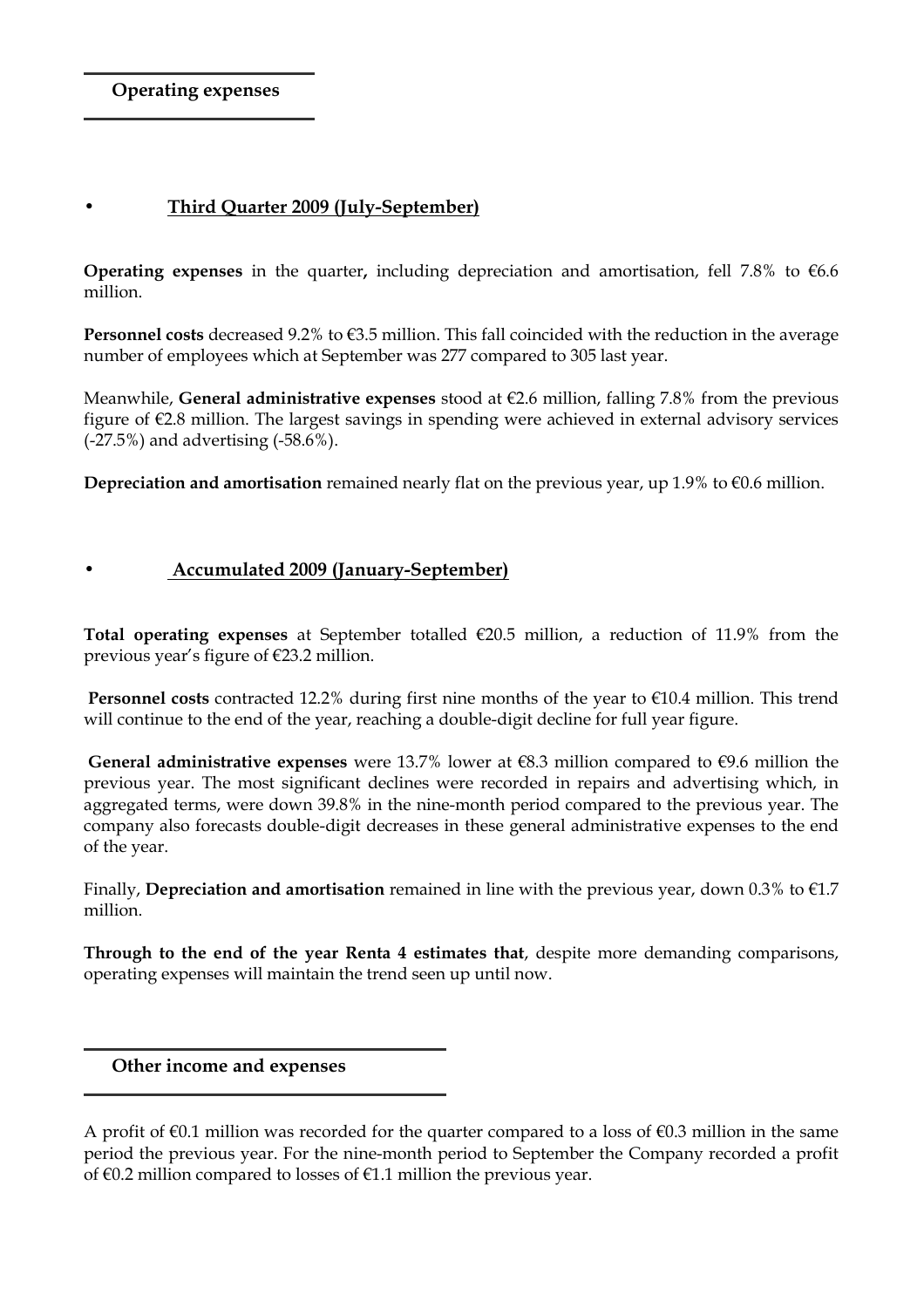Operating expenses

### • Third Quarter 2009 (July-September)

**Operating expenses** in the quarter, including depreciation and amortisation, fell 7.8% to  $\epsilon$ 6.6 million.

**Personnel costs** decreased 9.2% to  $\epsilon$ 3.5 million. This fall coincided with the reduction in the average number of employees which at September was 277 compared to 305 last year.

Meanwhile, General administrative expenses stood at  $\epsilon$ 2.6 million, falling 7.8% from the previous figure of €2.8 million. The largest savings in spending were achieved in external advisory services (-27.5%) and advertising (-58.6%).

Depreciation and amortisation remained nearly flat on the previous year, up 1.9% to  $\epsilon$ 0.6 million.

# • Accumulated 2009 (January-September)

Total operating expenses at September totalled  $\epsilon$ 20.5 million, a reduction of 11.9% from the previous year's figure of €23.2 million.

**Personnel costs** contracted 12.2% during first nine months of the year to  $€10.4$  million. This trend will continue to the end of the year, reaching a double-digit decline for full year figure.

General administrative expenses were 13.7% lower at  $\epsilon$ 8.3 million compared to  $\epsilon$ 9.6 million the previous year. The most significant declines were recorded in repairs and advertising which, in aggregated terms, were down 39.8% in the nine-month period compared to the previous year. The company also forecasts double-digit decreases in these general administrative expenses to the end of the year.

Finally, Depreciation and amortisation remained in line with the previous year, down 0.3% to  $\epsilon$ 1.7 million.

Through to the end of the year Renta 4 estimates that, despite more demanding comparisons, operating expenses will maintain the trend seen up until now.

Other income and expenses

A profit of  $\epsilon$ 0.1 million was recorded for the quarter compared to a loss of  $\epsilon$ 0.3 million in the same period the previous year. For the nine-month period to September the Company recorded a profit of €0.2 million compared to losses of €1.1 million the previous year.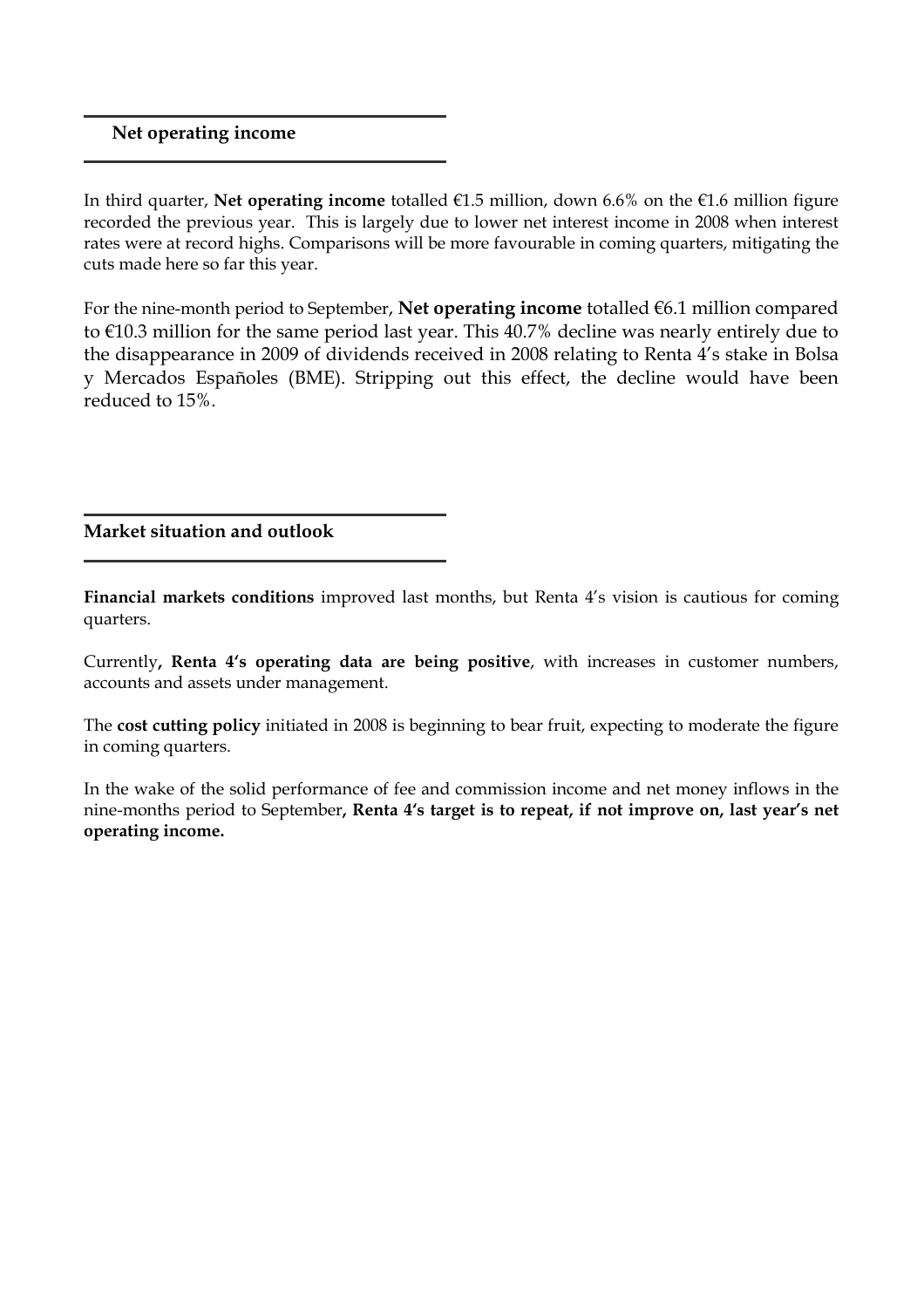### Net operating income

In third quarter, Net operating income totalled  $\epsilon$ 1.5 million, down 6.6% on the  $\epsilon$ 1.6 million figure recorded the previous year. This is largely due to lower net interest income in 2008 when interest rates were at record highs. Comparisons will be more favourable in coming quarters, mitigating the cuts made here so far this year.

For the nine-month period to September, Net operating income totalled  $\epsilon$ 6.1 million compared to €10.3 million for the same period last year. This 40.7% decline was nearly entirely due to the disappearance in 2009 of dividends received in 2008 relating to Renta 4's stake in Bolsa y Mercados Españoles (BME). Stripping out this effect, the decline would have been reduced to 15%.

### Market situation and outlook

Financial markets conditions improved last months, but Renta 4's vision is cautious for coming quarters.

Currently, Renta 4's operating data are being positive, with increases in customer numbers, accounts and assets under management.

The cost cutting policy initiated in 2008 is beginning to bear fruit, expecting to moderate the figure in coming quarters.

In the wake of the solid performance of fee and commission income and net money inflows in the nine-months period to September, Renta 4's target is to repeat, if not improve on, last year's net operating income.